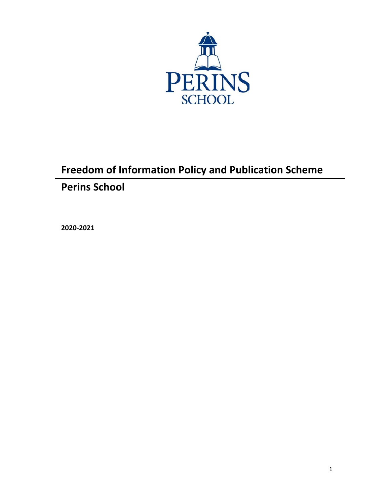

# **Freedom of Information Policy and Publication Scheme Perins School**

**2020-2021**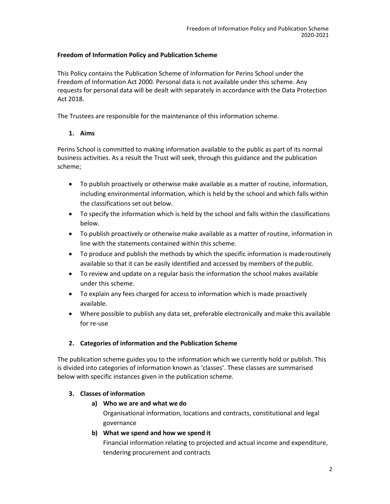## **Freedom of Information Policy and Publication Scheme**

This Policy contains the Publication Scheme of Information for Perins School under the Freedom of Information Act 2000. Personal data is not available under this scheme. Any requests for personal data will be dealt with separately in accordance with the Data Protection Act 2018.

The Trustees are responsible for the maintenance of this information scheme.

## **1. Aims**

Perins School is committed to making information available to the public as part of its normal business activities. As a result the Trust will seek, through this guidance and the publication scheme;

- To publish proactively or otherwise make available as a matter of routine, information, including environmental information, which is held by the school and which falls within the classifications set out below.
- To specify the information which is held by the school and falls within the classifications below.
- To publish proactively or otherwise make available as a matter of routine, information in line with the statements contained within this scheme.
- To produce and publish the methods by which the specific information is maderoutinely available so that it can be easily identified and accessed by members of the public.
- To review and update on a regular basis the information the school makes available under this scheme.
- To explain any fees charged for access to information which is made proactively available.
- Where possible to publish any data set, preferable electronically and make this available for re-use

## **2. Categories of information and the Publication Scheme**

The publication scheme guides you to the information which we currently hold or publish. This is divided into categories of information known as 'classes'. These classes are summarised below with specific instances given in the publication scheme.

## **3. Classes of information**

## **a) Who we are and what we do**

Organisational information, locations and contracts, constitutional and legal governance

#### **b) What we spend and how we spend it**

Financial information relating to projected and actual income and expenditure, tendering procurement and contracts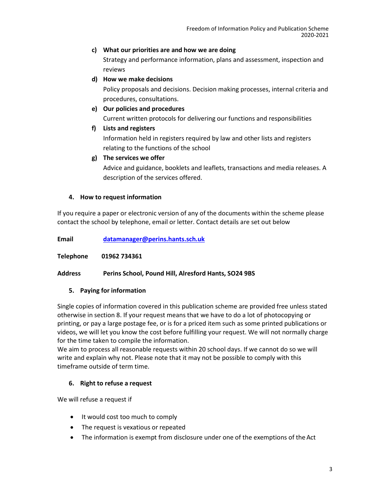#### **c) What our priorities are and how we are doing**

Strategy and performance information, plans and assessment, inspection and reviews

## **d) How we make decisions**

Policy proposals and decisions. Decision making processes, internal criteria and procedures, consultations.

## **e) Our policies and procedures**

Current written protocols for delivering our functions and responsibilities

## **f) Lists and registers**

Information held in registers required by law and other lists and registers relating to the functions of the school

#### **g) The services we offer**

Advice and guidance, booklets and leaflets, transactions and media releases. A description of the services offered.

## **4. How to request information**

If you require a paper or electronic version of any of the documents within the scheme please contact the school by telephone, email or letter. Contact details are set out below

**Email [datamanager@perins.hants.sch.uk](mailto:datamanager@perins.hants.sch.uk)**

**Telephone 01962 734361**

#### **Address Perins School, Pound Hill, Alresford Hants, SO24 9BS**

## **5. Paying for information**

Single copies of information covered in this publication scheme are provided free unless stated otherwise in section 8. If your request means that we have to do a lot of photocopying or printing, or pay a large postage fee, or is for a priced item such as some printed publications or videos, we will let you know the cost before fulfilling your request. We will not normally charge for the time taken to compile the information.

We aim to process all reasonable requests within 20 school days. If we cannot do so we will write and explain why not. Please note that it may not be possible to comply with this timeframe outside of term time.

## **6. Right to refuse a request**

We will refuse a request if

- It would cost too much to comply
- The request is vexatious or repeated
- The information is exempt from disclosure under one of the exemptions of the Act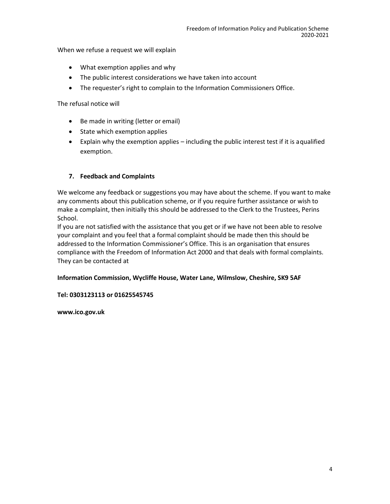When we refuse a request we will explain

- What exemption applies and why
- The public interest considerations we have taken into account
- The requester's right to complain to the Information Commissioners Office.

The refusal notice will

- Be made in writing (letter or email)
- State which exemption applies
- Explain why the exemption applies including the public interest test if it is aqualified exemption.

#### **7. Feedback and Complaints**

We welcome any feedback or suggestions you may have about the scheme. If you want to make any comments about this publication scheme, or if you require further assistance or wish to make a complaint, then initially this should be addressed to the Clerk to the Trustees, Perins School.

If you are not satisfied with the assistance that you get or if we have not been able to resolve your complaint and you feel that a formal complaint should be made then this should be addressed to the Information Commissioner's Office. This is an organisation that ensures compliance with the Freedom of Information Act 2000 and that deals with formal complaints. They can be contacted at

#### **Information Commission, Wycliffe House, Water Lane, Wilmslow, Cheshire, SK9 5AF**

#### **Tel: 0303123113 or 01625545745**

**[www.ico.gov.uk](http://www.ico.gov.uk/)**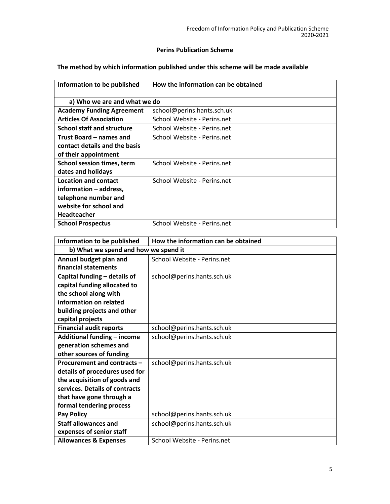## **Perins Publication Scheme**

# **The method by which information published under this scheme will be made available**

| Information to be published       | How the information can be obtained |
|-----------------------------------|-------------------------------------|
|                                   |                                     |
| a) Who we are and what we do      |                                     |
| <b>Academy Funding Agreement</b>  | school@perins.hants.sch.uk          |
| <b>Articles Of Association</b>    | School Website - Perins.net         |
| <b>School staff and structure</b> | School Website - Perins.net         |
| Trust Board – names and           | School Website - Perins.net         |
| contact details and the basis     |                                     |
| of their appointment              |                                     |
| School session times, term        | School Website - Perins.net         |
| dates and holidays                |                                     |
| <b>Location and contact</b>       | School Website - Perins.net         |
| information - address,            |                                     |
| telephone number and              |                                     |
| website for school and            |                                     |
| <b>Headteacher</b>                |                                     |
| <b>School Prospectus</b>          | School Website - Perins.net         |

| Information to be published          | How the information can be obtained |
|--------------------------------------|-------------------------------------|
| b) What we spend and how we spend it |                                     |
| Annual budget plan and               | School Website - Perins.net         |
| financial statements                 |                                     |
| Capital funding - details of         | school@perins.hants.sch.uk          |
| capital funding allocated to         |                                     |
| the school along with                |                                     |
| information on related               |                                     |
| building projects and other          |                                     |
| capital projects                     |                                     |
| <b>Financial audit reports</b>       | school@perins.hants.sch.uk          |
| Additional funding - income          | school@perins.hants.sch.uk          |
| generation schemes and               |                                     |
| other sources of funding             |                                     |
| Procurement and contracts -          | school@perins.hants.sch.uk          |
| details of procedures used for       |                                     |
| the acquisition of goods and         |                                     |
| services. Details of contracts       |                                     |
| that have gone through a             |                                     |
| formal tendering process             |                                     |
| <b>Pay Policy</b>                    | school@perins.hants.sch.uk          |
| <b>Staff allowances and</b>          | school@perins.hants.sch.uk          |
| expenses of senior staff             |                                     |
| <b>Allowances &amp; Expenses</b>     | School Website - Perins.net         |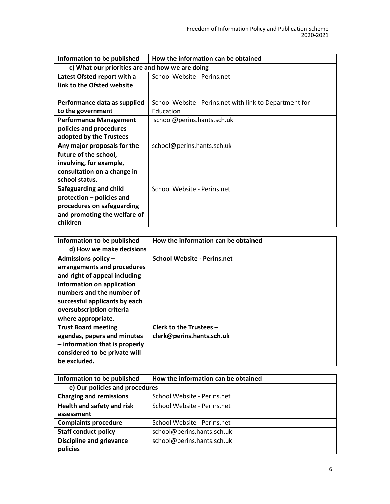| Information to be published                     | How the information can be obtained                     |
|-------------------------------------------------|---------------------------------------------------------|
| c) What our priorities are and how we are doing |                                                         |
| Latest Ofsted report with a                     | School Website - Perins.net                             |
| link to the Ofsted website                      |                                                         |
|                                                 |                                                         |
| Performance data as supplied                    | School Website - Perins.net with link to Department for |
| to the government                               | Education                                               |
| <b>Performance Management</b>                   | school@perins.hants.sch.uk                              |
| policies and procedures                         |                                                         |
| adopted by the Trustees                         |                                                         |
| Any major proposals for the                     | school@perins.hants.sch.uk                              |
| future of the school,                           |                                                         |
| involving, for example,                         |                                                         |
| consultation on a change in                     |                                                         |
| school status.                                  |                                                         |
| Safeguarding and child                          | School Website - Perins.net                             |
| protection - policies and                       |                                                         |
| procedures on safeguarding                      |                                                         |
| and promoting the welfare of                    |                                                         |
| children                                        |                                                         |

| Information to be published                                                                                                                                                                                                          | How the information can be obtained                  |
|--------------------------------------------------------------------------------------------------------------------------------------------------------------------------------------------------------------------------------------|------------------------------------------------------|
| d) How we make decisions                                                                                                                                                                                                             |                                                      |
| Admissions policy $-$<br>arrangements and procedures<br>and right of appeal including<br>information on application<br>numbers and the number of<br>successful applicants by each<br>oversubscription criteria<br>where appropriate. | <b>School Website - Perins.net</b>                   |
| <b>Trust Board meeting</b><br>agendas, papers and minutes<br>$-$ information that is properly<br>considered to be private will<br>be excluded.                                                                                       | Clerk to the Trustees -<br>clerk@perins.hants.sch.uk |

| Information to be published     | How the information can be obtained |
|---------------------------------|-------------------------------------|
| e) Our policies and procedures  |                                     |
| <b>Charging and remissions</b>  | School Website - Perins.net         |
| Health and safety and risk      | School Website - Perins.net         |
| assessment                      |                                     |
| <b>Complaints procedure</b>     | School Website - Perins.net         |
| <b>Staff conduct policy</b>     | school@perins.hants.sch.uk          |
| <b>Discipline and grievance</b> | school@perins.hants.sch.uk          |
| policies                        |                                     |